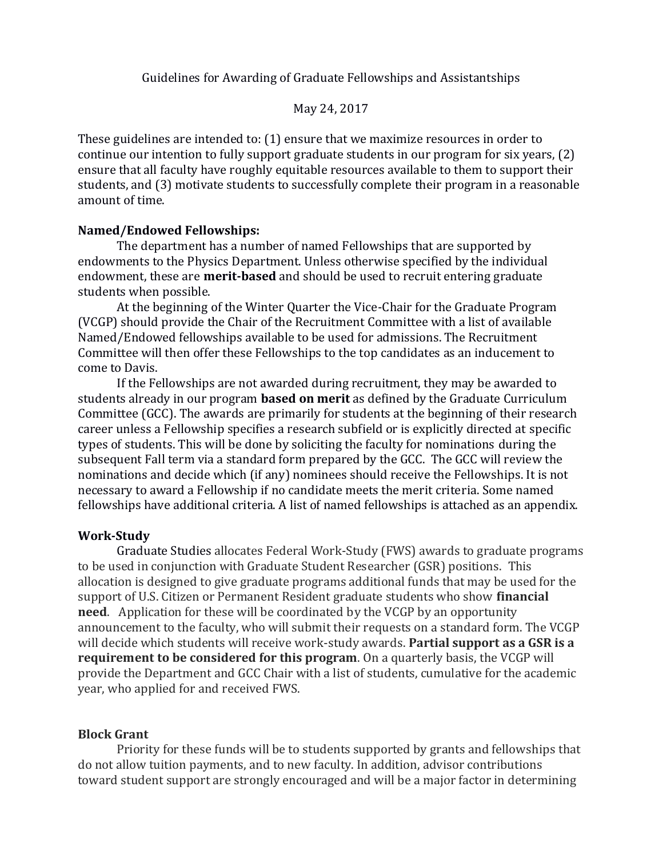Guidelines for Awarding of Graduate Fellowships and Assistantships

### May 24, 2017

These guidelines are intended to: (1) ensure that we maximize resources in order to continue our intention to fully support graduate students in our program for six years, (2) ensure that all faculty have roughly equitable resources available to them to support their students, and (3) motivate students to successfully complete their program in a reasonable amount of time.

## **Named/Endowed Fellowships:**

The department has a number of named Fellowships that are supported by endowments to the Physics Department. Unless otherwise specified by the individual endowment, these are **merit-based** and should be used to recruit entering graduate students when possible.

At the beginning of the Winter Quarter the Vice-Chair for the Graduate Program (VCGP) should provide the Chair of the Recruitment Committee with a list of available Named/Endowed fellowships available to be used for admissions. The Recruitment Committee will then offer these Fellowships to the top candidates as an inducement to come to Davis.

If the Fellowships are not awarded during recruitment, they may be awarded to students already in our program **based on merit** as defined by the Graduate Curriculum Committee (GCC). The awards are primarily for students at the beginning of their research career unless a Fellowship specifies a research subfield or is explicitly directed at specific types of students. This will be done by soliciting the faculty for nominations during the subsequent Fall term via a standard form prepared by the GCC. The GCC will review the nominations and decide which (if any) nominees should receive the Fellowships. It is not necessary to award a Fellowship if no candidate meets the merit criteria. Some named fellowships have additional criteria. A list of named fellowships is attached as an appendix.

# **Work-Study**

Graduate Studies allocates Federal Work-Study (FWS) awards to graduate programs to be used in conjunction with Graduate Student Researcher (GSR) positions. This allocation is designed to give graduate programs additional funds that may be used for the support of U.S. Citizen or Permanent Resident graduate students who show **financial need**. Application for these will be coordinated by the VCGP by an opportunity announcement to the faculty, who will submit their requests on a standard form. The VCGP will decide which students will receive work-study awards. **Partial support as a GSR is a requirement to be considered for this program**. On a quarterly basis, the VCGP will provide the Department and GCC Chair with a list of students, cumulative for the academic year, who applied for and received FWS.

## **Block Grant**

Priority for these funds will be to students supported by grants and fellowships that do not allow tuition payments, and to new faculty. In addition, advisor contributions toward student support are strongly encouraged and will be a major factor in determining